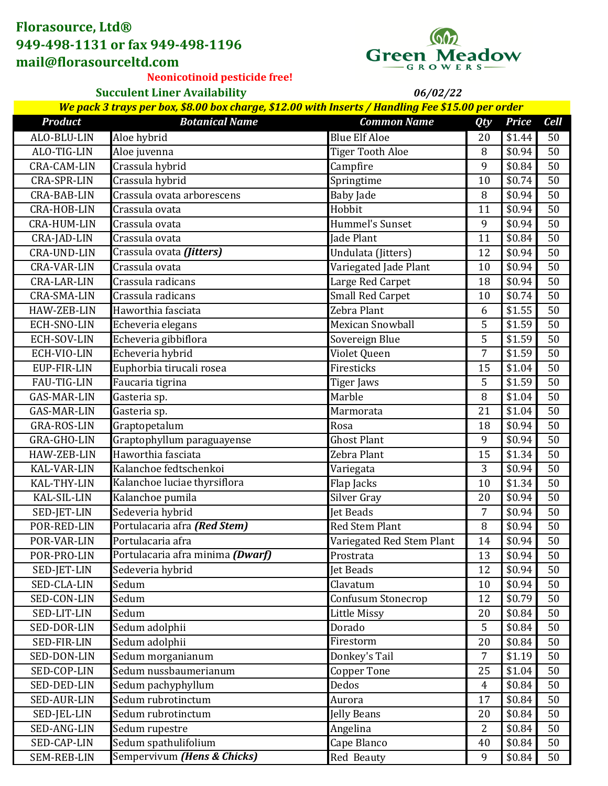## **Florasource, Ltd® 949-498-1131 or fax 949-498-1196 mail@florasourceltd.com**



*06/02/22*

**Neonicotinoid pesticide free!**

**Succulent Liner Availability**

| We pack 3 trays per box, \$8.00 box charge, \$12.00 with Inserts / Handling Fee \$15.00 per order |                                  |                           |                |              |             |
|---------------------------------------------------------------------------------------------------|----------------------------------|---------------------------|----------------|--------------|-------------|
| <b>Product</b>                                                                                    | <b>Botanical Name</b>            | <b>Common Name</b>        | <b>Qty</b>     | <b>Price</b> | <b>Cell</b> |
| ALO-BLU-LIN                                                                                       | Aloe hybrid                      | <b>Blue Elf Aloe</b>      | 20             | \$1.44       | 50          |
| ALO-TIG-LIN                                                                                       | Aloe juvenna                     | <b>Tiger Tooth Aloe</b>   | 8              | \$0.94       | 50          |
| <b>CRA-CAM-LIN</b>                                                                                | Crassula hybrid                  | Campfire                  | 9              | \$0.84       | 50          |
| <b>CRA-SPR-LIN</b>                                                                                | Crassula hybrid                  | Springtime                | 10             | \$0.74       | 50          |
| <b>CRA-BAB-LIN</b>                                                                                | Crassula ovata arborescens       | <b>Baby Jade</b>          | 8              | \$0.94       | 50          |
| <b>CRA-HOB-LIN</b>                                                                                | Crassula ovata                   | Hobbit                    | 11             | \$0.94       | 50          |
| <b>CRA-HUM-LIN</b>                                                                                | Crassula ovata                   | Hummel's Sunset           | 9              | \$0.94       | 50          |
| CRA-JAD-LIN                                                                                       | Crassula ovata                   | Jade Plant                | 11             | \$0.84       | 50          |
| <b>CRA-UND-LIN</b>                                                                                | Crassula ovata (Jitters)         | Undulata (Jitters)        | 12             | \$0.94       | 50          |
| <b>CRA-VAR-LIN</b>                                                                                | Crassula ovata                   | Variegated Jade Plant     | 10             | \$0.94       | 50          |
| <b>CRA-LAR-LIN</b>                                                                                | Crassula radicans                | Large Red Carpet          | 18             | \$0.94       | 50          |
| <b>CRA-SMA-LIN</b>                                                                                | Crassula radicans                | <b>Small Red Carpet</b>   | 10             | \$0.74       | 50          |
| HAW-ZEB-LIN                                                                                       | Haworthia fasciata               | Zebra Plant               | 6              | \$1.55       | 50          |
| ECH-SNO-LIN                                                                                       | Echeveria elegans                | <b>Mexican Snowball</b>   | 5              | \$1.59       | 50          |
| ECH-SOV-LIN                                                                                       | Echeveria gibbiflora             | Sovereign Blue            | 5              | \$1.59       | 50          |
| ECH-VIO-LIN                                                                                       | Echeveria hybrid                 | Violet Queen              | 7              | \$1.59       | 50          |
| EUP-FIR-LIN                                                                                       | Euphorbia tirucali rosea         | Firesticks                | 15             | \$1.04       | 50          |
| FAU-TIG-LIN                                                                                       | Faucaria tigrina                 | Tiger Jaws                | 5              | \$1.59       | 50          |
| <b>GAS-MAR-LIN</b>                                                                                | Gasteria sp.                     | Marble                    | 8              | \$1.04       | 50          |
| <b>GAS-MAR-LIN</b>                                                                                | Gasteria sp.                     | Marmorata                 | 21             | \$1.04       | 50          |
| <b>GRA-ROS-LIN</b>                                                                                | Graptopetalum                    | Rosa                      | 18             | \$0.94       | 50          |
| GRA-GHO-LIN                                                                                       | Graptophyllum paraguayense       | <b>Ghost Plant</b>        | 9              | \$0.94       | 50          |
| HAW-ZEB-LIN                                                                                       | Haworthia fasciata               | Zebra Plant               | 15             | \$1.34       | 50          |
| KAL-VAR-LIN                                                                                       | Kalanchoe fedtschenkoi           | Variegata                 | 3              | \$0.94       | 50          |
| KAL-THY-LIN                                                                                       | Kalanchoe luciae thyrsiflora     | Flap Jacks                | 10             | \$1.34       | 50          |
| KAL-SIL-LIN                                                                                       | Kalanchoe pumila                 | Silver Gray               | 20             | \$0.94       | 50          |
| SED-JET-LIN                                                                                       | Sedeveria hybrid                 | <b>Jet Beads</b>          | $\overline{7}$ | \$0.94       | 50          |
| POR-RED-LIN                                                                                       | Portulacaria afra (Red Stem)     | <b>Red Stem Plant</b>     | 8              | \$0.94       | 50          |
| POR-VAR-LIN                                                                                       | Portulacaria afra                | Variegated Red Stem Plant | 14             | \$0.94       | 50          |
| POR-PRO-LIN                                                                                       | Portulacaria afra minima (Dwarf) | Prostrata                 | 13             | \$0.94       | 50          |
| SED-JET-LIN                                                                                       | Sedeveria hybrid                 | Jet Beads                 | 12             | \$0.94       | 50          |
| SED-CLA-LIN                                                                                       | Sedum                            | Clavatum                  | 10             | \$0.94       | 50          |
| SED-CON-LIN                                                                                       | Sedum                            | Confusum Stonecrop        | 12             | \$0.79       | 50          |
| SED-LIT-LIN                                                                                       | Sedum                            | <b>Little Missy</b>       | 20             | \$0.84       | 50          |
| SED-DOR-LIN                                                                                       | Sedum adolphii                   | Dorado                    | 5              | \$0.84       | 50          |
| SED-FIR-LIN                                                                                       | Sedum adolphii                   | Firestorm                 | 20             | \$0.84       | 50          |
| SED-DON-LIN                                                                                       | Sedum morganianum                | Donkey's Tail             | $\overline{7}$ | \$1.19       | 50          |
| SED-COP-LIN                                                                                       | Sedum nussbaumerianum            | <b>Copper Tone</b>        | 25             | \$1.04       | 50          |
| SED-DED-LIN                                                                                       | Sedum pachyphyllum               | Dedos                     | $\overline{4}$ | \$0.84       | 50          |
| SED-AUR-LIN                                                                                       | Sedum rubrotinctum               | Aurora                    | 17             | \$0.84       | 50          |
| SED-JEL-LIN                                                                                       | Sedum rubrotinctum               | Jelly Beans               | 20             | \$0.84       | 50          |
| SED-ANG-LIN                                                                                       | Sedum rupestre                   | Angelina                  | $\overline{2}$ | \$0.84       | 50          |
| SED-CAP-LIN                                                                                       | Sedum spathulifolium             | Cape Blanco               | 40             | \$0.84       | 50          |
| SEM-REB-LIN                                                                                       | Sempervivum (Hens & Chicks)      | Red Beauty                | 9              | \$0.84       | 50          |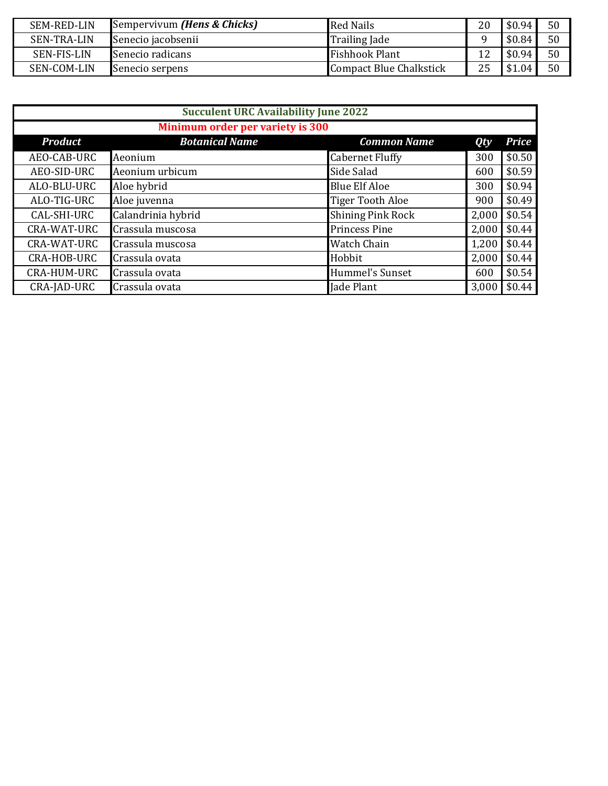| <b>SEM-RED-LIN</b> | Sempervivum <i>(Hens &amp; Chicks)</i> | <b>Red Nails</b>               | 20 | \$0.94 | 50 |
|--------------------|----------------------------------------|--------------------------------|----|--------|----|
| <b>SEN-TRA-LIN</b> | Senecio jacobsenii                     | <b>Trailing Jade</b>           |    | \$0.84 | 50 |
| <b>SEN-FIS-LIN</b> | Senecio radicans                       | <b>Fishhook Plant</b>          | 12 | \$0.94 | 50 |
| <b>SEN-COM-LIN</b> | Senecio serpens                        | <b>Compact Blue Chalkstick</b> | 25 | \$1.04 | 50 |

| <b>Succulent URC Availability June 2022</b> |                       |                          |       |              |  |
|---------------------------------------------|-----------------------|--------------------------|-------|--------------|--|
| Minimum order per variety is 300            |                       |                          |       |              |  |
| <b>Product</b>                              | <b>Botanical Name</b> | <b>Common Name</b>       | Qty   | <b>Price</b> |  |
| AEO-CAB-URC                                 | Aeonium               | <b>Cabernet Fluffy</b>   | 300   | \$0.50       |  |
| AEO-SID-URC                                 | Aeonium urbicum       | Side Salad               | 600   | \$0.59       |  |
| ALO-BLU-URC                                 | Aloe hybrid           | <b>Blue Elf Aloe</b>     | 300   | \$0.94       |  |
| ALO-TIG-URC                                 | Aloe juvenna          | <b>Tiger Tooth Aloe</b>  | 900   | \$0.49       |  |
| CAL-SHI-URC                                 | Calandrinia hybrid    | <b>Shining Pink Rock</b> | 2,000 | \$0.54       |  |
| CRA-WAT-URC                                 | Crassula muscosa      | <b>Princess Pine</b>     | 2,000 | \$0.44       |  |
| CRA-WAT-URC                                 | Crassula muscosa      | <b>Watch Chain</b>       | 1,200 | \$0.44       |  |
| CRA-HOB-URC                                 | Crassula ovata        | Hobbit                   | 2,000 | \$0.44       |  |
| CRA-HUM-URC                                 | Crassula ovata        | Hummel's Sunset          | 600   | \$0.54       |  |
| CRA-JAD-URC                                 | Crassula ovata        | <b>Jade Plant</b>        | 3,000 | \$0.44       |  |